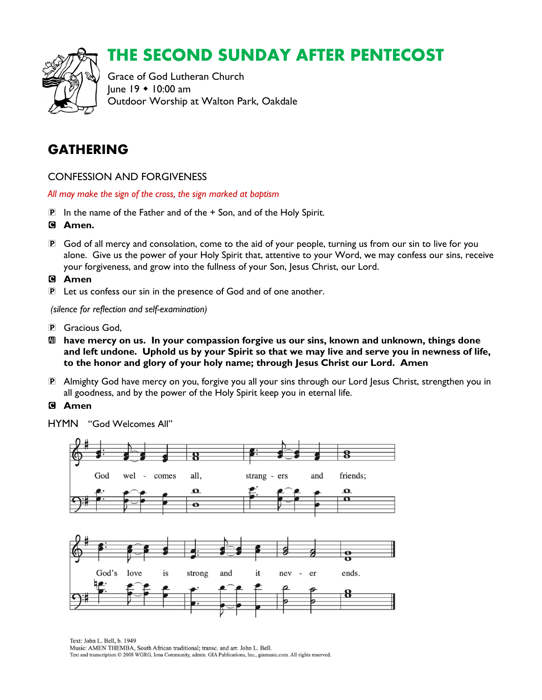

# THE SECOND SUNDAY AFTER PENTECOST

Grace of God Lutheran Church  $lune$  19  $\div$  10:00 am Outdoor Worship at Walton Park, Oakdale

## GATHERING

CONFESSION AND FORGIVENESS

*All may make the sign of the cross, the sign marked at baptism*

- P In the name of the Father and of the + Son, and of the Holy Spirit.
- C **Amen.**
- P God of all mercy and consolation, come to the aid of your people, turning us from our sin to live for you alone. Give us the power of your Holy Spirit that, attentive to your Word, we may confess our sins, receive your forgiveness, and grow into the fullness of your Son, Jesus Christ, our Lord.

#### C **Amen**

P Let us confess our sin in the presence of God and of one another.

*(silence for reflection and self-examination)*

- P Gracious God,
- $\mathbf{M}$  have mercy on us. In your compassion forgive us our sins, known and unknown, things done **and left undone. Uphold us by your Spirit so that we may live and serve you in newness of life, to the honor and glory of your holy name; through Jesus Christ our Lord. Amen**
- P Almighty God have mercy on you, forgive you all your sins through our Lord Jesus Christ, strengthen you in all goodness, and by the power of the Holy Spirit keep you in eternal life.

#### C **Amen**

HYMN "God Welcomes All"



Text: John L. Bell. b. 1949 Music: AMEN THEMBA, South African traditional; transc. and arr. John L. Bell. Text and transcription © 2008 WGRG, Iona Community, admin. GIA Publications, Inc., giamusic.com. All rights reserved.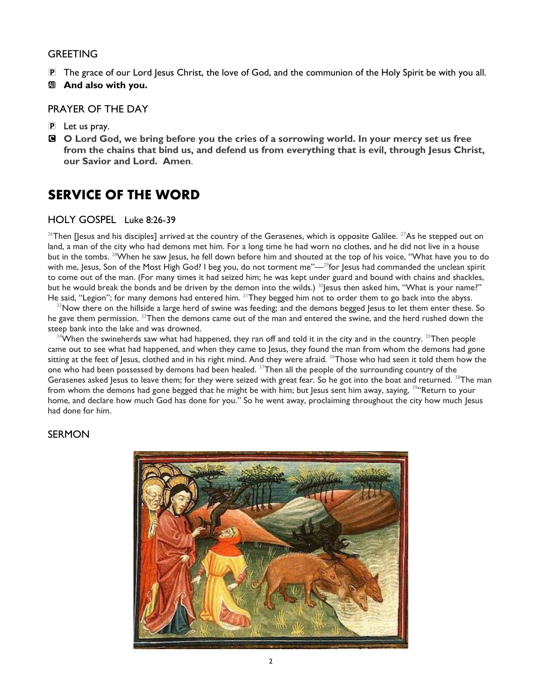#### GREETING

- P The grace of our Lord Jesus Christ, the love of God, and the communion of the Holy Spirit be with you all.
- **Exagger 20 And also with you.**

#### PRAYER OF THE DAY

- P Let us pray.
- C **O Lord God, we bring before you the cries of a sorrowing world. In your mercy set us free from the chains that bind us, and defend us from everything that is evil, through Jesus Christ, our Savior and Lord. Amen**.

#### SERVICE OF THE WORD

#### HOLY GOSPEL Luke 8:26-39

<sup>26</sup>Then [Jesus and his disciples] arrived at the country of the Gerasenes, which is opposite Galilee. <sup>27</sup>As he stepped out on land, a man of the city who had demons met him. For a long time he had worn no clothes, and he did not live in a house but in the tombs. <sup>28</sup>When he saw Jesus, he fell down before him and shouted at the top of his voice, "What have you to do with me, Jesus, Son of the Most High God? I beg you, do not torment me"—<sup>29</sup>for Jesus had commanded the unclean spirit to come out of the man. (For many times it had seized him; he was kept under guard and bound with chains and shackles, but he would break the bonds and be driven by the demon into the wilds.)  $30$  esus then asked him, "What is your name?" He said, "Legion"; for many demons had entered him. <sup>31</sup>They begged him not to order them to go back into the abyss.

 $32$ Now there on the hillside a large herd of swine was feeding; and the demons begged Jesus to let them enter these. So he gave them permission. <sup>33</sup>Then the demons came out of the man and entered the swine, and the herd rushed down the steep bank into the lake and was drowned.

 $34$ When the swineherds saw what had happened, they ran off and told it in the city and in the country.  $35$ Then people came out to see what had happened, and when they came to Jesus, they found the man from whom the demons had gone sitting at the feet of Jesus, clothed and in his right mind. And they were afraid. <sup>36</sup>Those who had seen it told them how the one who had been possessed by demons had been healed. <sup>37</sup>Then all the people of the surrounding country of the Gerasenes asked Jesus to leave them; for they were seized with great fear. So he got into the boat and returned.  $38$ The man from whom the demons had gone begged that he might be with him; but Jesus sent him away, saying, <sup>39</sup> Return to your home, and declare how much God has done for you." So he went away, proclaiming throughout the city how much Jesus had done for him.

#### SERMON

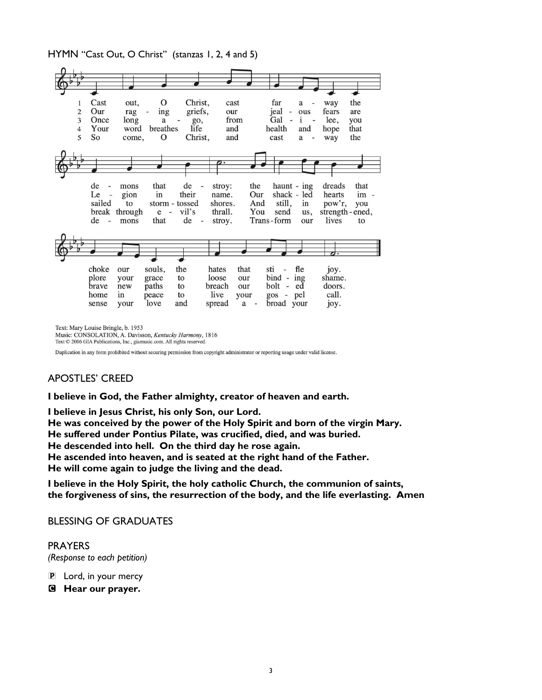HYMN "Cast Out, O Christ" (stanzas 1, 2, 4 and 5)



Text: Mary Louise Bringle, b. 1953

Music: CONSOLATION, A. Davisson, Kentucky Harmony, 1816 Text © 2006 GIA Publications, Inc., giamusic.com. All rights reserved.

Duplication in any form prohibited without securing permission from copyright administrator or reporting usage under valid license.

#### APOSTLES' CREED

**I believe in God, the Father almighty, creator of heaven and earth.**

**I believe in Jesus Christ, his only Son, our Lord.**

**He was conceived by the power of the Holy Spirit and born of the virgin Mary. He suffered under Pontius Pilate, was crucified, died, and was buried. He descended into hell. On the third day he rose again. He ascended into heaven, and is seated at the right hand of the Father. He will come again to judge the living and the dead.**

**I believe in the Holy Spirit, the holy catholic Church, the communion of saints, the forgiveness of sins, the resurrection of the body, and the life everlasting. Amen**

BLESSING OF GRADUATES

PRAYERS *(Response to each petition)*

- P Lord, in your mercy
- C **Hear our prayer.**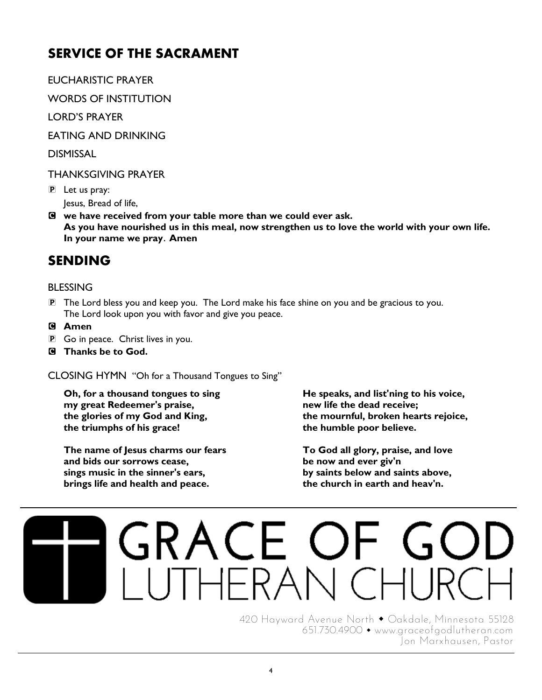# SERVICE OF THE SACRAMENT

EUCHARISTIC PRAYER

WORDS OF INSTITUTION

LORD'S PRAYER

EATING AND DRINKING

DISMISSAL

#### THANKSGIVING PRAYER

P Let us pray: Jesus, Bread of life,

C **we have received from your table more than we could ever ask. As you have nourished us in this meal, now strengthen us to love the world with your own life. In your name we pray**. **Amen**

# SENDING

#### BLESSING

- P The Lord bless you and keep you. The Lord make his face shine on you and be gracious to you. The Lord look upon you with favor and give you peace.
- C **Amen**
- P Go in peace. Christ lives in you.
- C **Thanks be to God.**

CLOSING HYMN "Oh for a Thousand Tongues to Sing"

**Oh, for a thousand tongues to sing my great Redeemer's praise, the glories of my God and King, the triumphs of his grace!**

**The name of Jesus charms our fears and bids our sorrows cease, sings music in the sinner's ears, brings life and health and peace.**

**He speaks, and list'ning to his voice, new life the dead receive; the mournful, broken hearts rejoice, the humble poor believe.**

**To God all glory, praise, and love be now and ever giv'n by saints below and saints above, the church in earth and heav'n.**

# GRACE OF

420 Hayward Avenue North • Oakdale, Minnesota 55128 651.730.4900 [www.graceofgodlutheran.com](http://www.graceofgodlutheran.com/) Jon Marxhausen, Pastor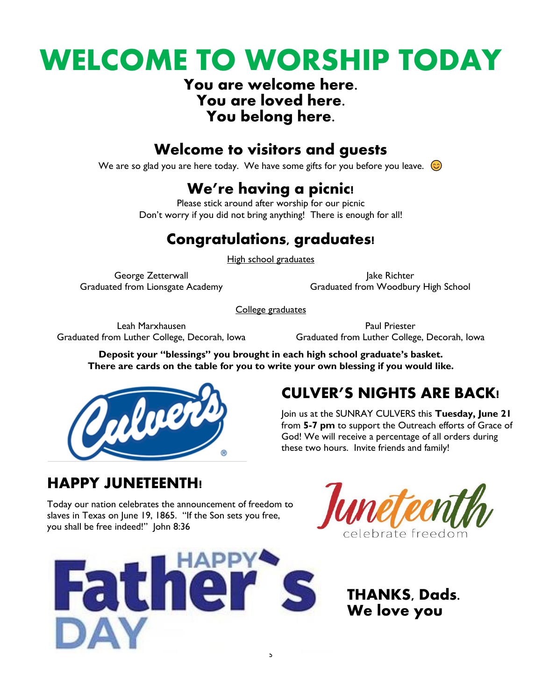# WELCOME TO WORSHIP TODAY

### You are welcome here. You are loved here. You belong here.

# Welcome to visitors and guests

We are so glad you are here today. We have some gifts for you before you leave.  $\odot$ 

# We're having a picnic!

Please stick around after worship for our picnic Don't worry if you did not bring anything! There is enough for all!

# Congratulations, graduates!

High school graduates

George Zetterwall Graduated from Lionsgate Academy

Jake Richter Graduated from Woodbury High School

College graduates

Leah Marxhausen Graduated from Luther College, Decorah, Iowa

Paul Priester Graduated from Luther College, Decorah, Iowa

**Deposit your "blessings" you brought in each high school graduate's basket. There are cards on the table for you to write your own blessing if you would like.**



# CULVER'S NIGHTS ARE BACK!

Join us at the SUNRAY CULVERS this **Tuesday, June 21** from **5-7 pm** to support the Outreach efforts of Grace of God! We will receive a percentage of all orders during these two hours. Invite friends and family!

# HAPPY JUNETEENTH!

Today our nation celebrates the announcement of freedom to slaves in Texas on June 19, 1865. "If the Son sets you free, you shall be free indeed!" John 8:36





THANKS, Dads. We love you